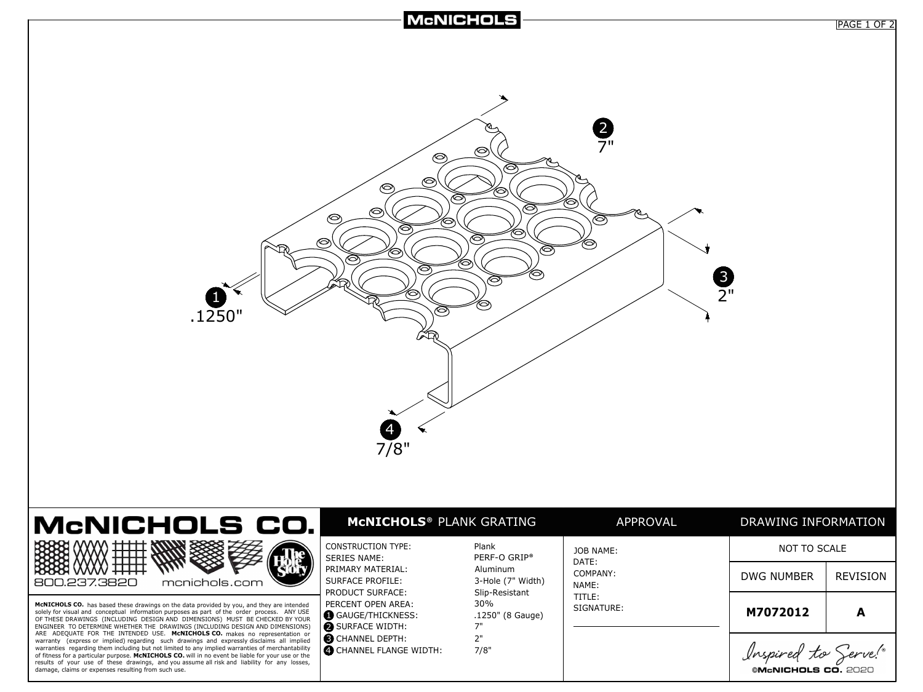